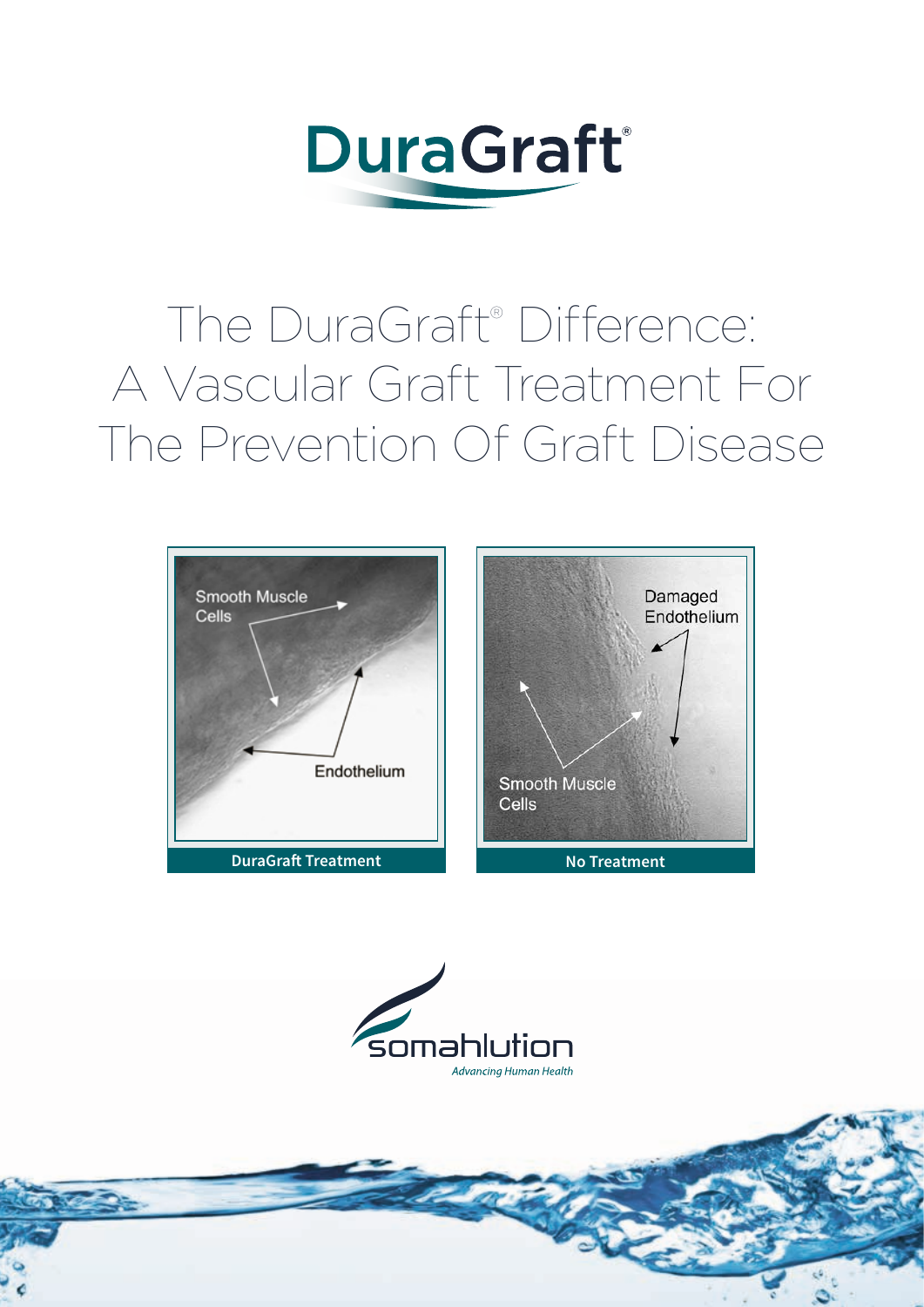

# The DuraGraft® Difference: A Vascular Graft Treatment For The Prevention Of Graft Disease





<u> Sab</u>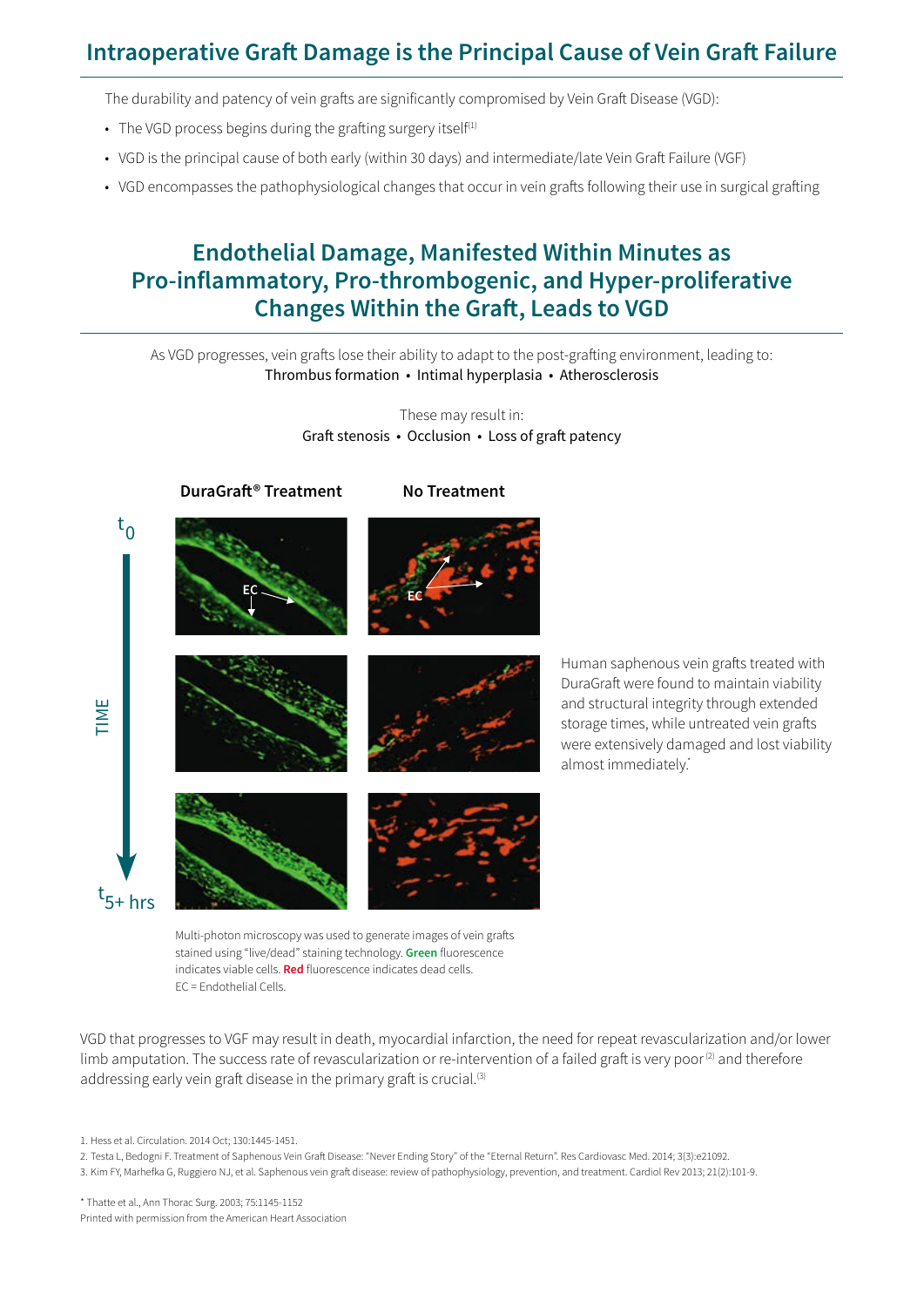## **Intraoperative Graft Damage is the Principal Cause of Vein Graft Failure**

The durability and patency of vein grafts are significantly compromised by Vein Graft Disease (VGD):

- The VGD process begins during the grafting surgery itself<sup>(1)</sup>
- VGD is the principal cause of both early (within 30 days) and intermediate/late Vein Graft Failure (VGF)
- VGD encompasses the pathophysiological changes that occur in vein grafts following their use in surgical grafting

#### **Endothelial Damage, Manifested Within Minutes as Pro-inflammatory, Pro-thrombogenic, and Hyper-proliferative Changes Within the Graft, Leads to VGD**

As VGD progresses, vein grafts lose their ability to adapt to the post-grafting environment, leading to: Thrombus formation • Intimal hyperplasia • Atherosclerosis

> These may result in: Graft stenosis • Occlusion • Loss of graft patency



Human saphenous vein grafts treated with DuraGraft were found to maintain viability and structural integrity through extended storage times, while untreated vein grafts were extensively damaged and lost viability almost immediately.\*

Multi-photon microscopy was used to generate images of vein grafts stained using "live/dead" staining technology. **Green** fluorescence indicates viable cells. **Red** fluorescence indicates dead cells. EC = Endothelial Cells.

VGD that progresses to VGF may result in death, myocardial infarction, the need for repeat revascularization and/or lower limb amputation. The success rate of revascularization or re-intervention of a failed graft is very poor $(2)$  and therefore addressing early vein graft disease in the primary graft is crucial.<sup>(3)</sup>

3. Kim FY, Marhefka G, Ruggiero NJ, et al. Saphenous vein graft disease: review of pathophysiology, prevention, and treatment. Cardiol Rev 2013; 21(2):101-9.

\* Thatte et al., Ann Thorac Surg. 2003; 75:1145-1152 Printed with permission from the American Heart Association

<sup>1.</sup> Hess et al. Circulation. 2014 Oct; 130:1445-1451.

<sup>2.</sup> Testa L, Bedogni F. Treatment of Saphenous Vein Graft Disease: "Never Ending Story" of the "Eternal Return". Res Cardiovasc Med. 2014; 3(3):e21092.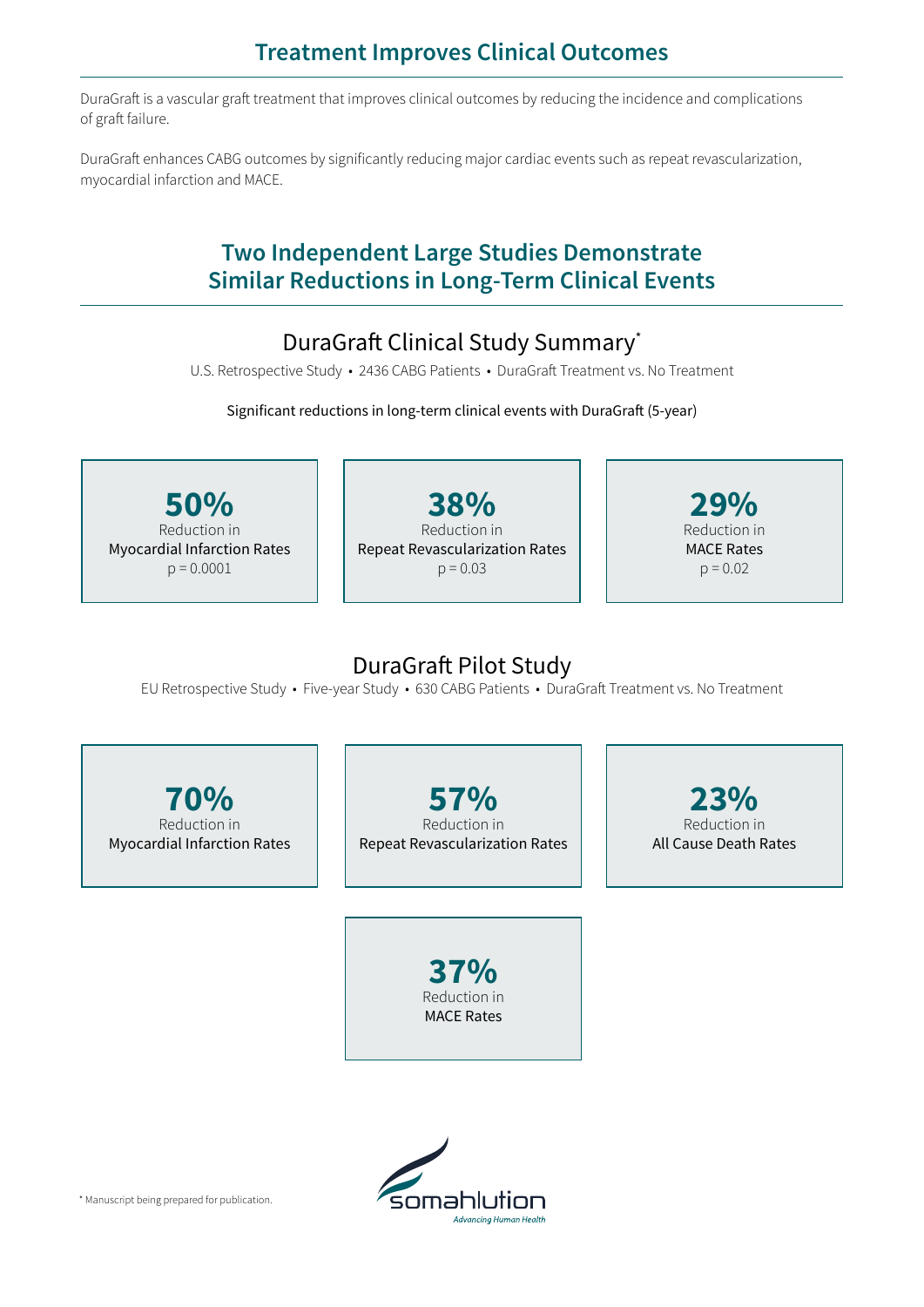### **Treatment Improves Clinical Outcomes**

DuraGraft is a vascular graft treatment that improves clinical outcomes by reducing the incidence and complications of graft failure.

DuraGraft enhances CABG outcomes by significantly reducing major cardiac events such as repeat revascularization, myocardial infarction and MACE.

#### **Two Independent Large Studies Demonstrate Similar Reductions in Long-Term Clinical Events**

# DuraGraft Clinical Study Summary\*

U.S. Retrospective Study • 2436 CABG Patients • DuraGraft Treatment vs. No Treatment

Significant reductions in long-term clinical events with DuraGraft (5-year)

**50%** Reduction in Myocardial Infarction Rates  $p = 0.0001$ **38%** Reduction in Repeat Revascularization Rates  $p = 0.03$ **29%** Reduction in MACE Rates  $p = 0.02$ 

#### DuraGraft Pilot Study

EU Retrospective Study • Five-year Study • 630 CABG Patients • DuraGraft Treatment vs. No Treatment

**70%** Reduction in Myocardial Infarction Rates

**57%** Reduction in Repeat Revascularization Rates

**23%** Reduction in All Cause Death Rates